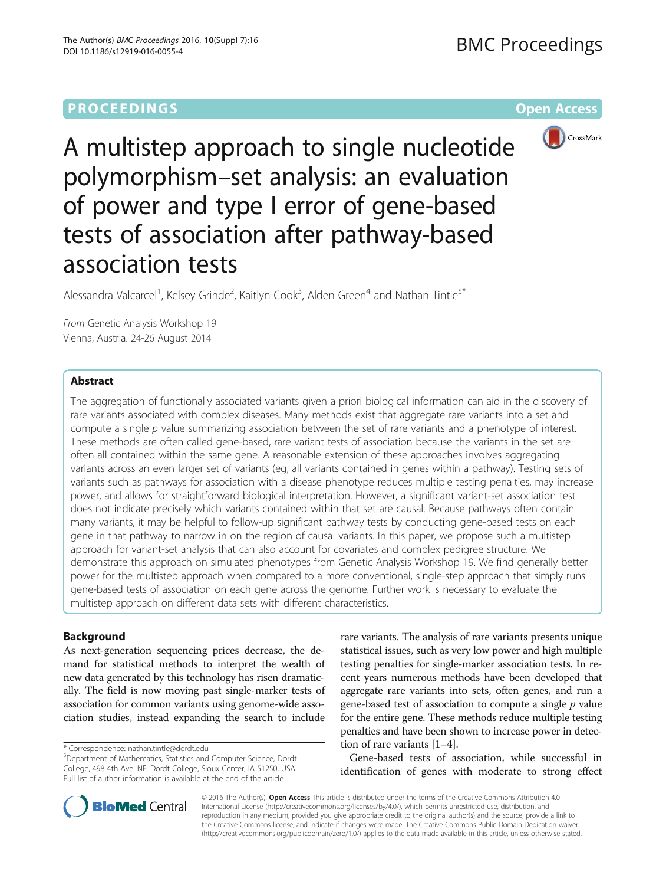

A multistep approach to single nucleotide polymorphism–set analysis: an evaluation of power and type I error of gene-based tests of association after pathway-based association tests

Alessandra Valcarcel<sup>1</sup>, Kelsey Grinde<sup>2</sup>, Kaitlyn Cook<sup>3</sup>, Alden Green<sup>4</sup> and Nathan Tintle<sup>5\*</sup>

From Genetic Analysis Workshop 19 Vienna, Austria. 24-26 August 2014

## Abstract

The aggregation of functionally associated variants given a priori biological information can aid in the discovery of rare variants associated with complex diseases. Many methods exist that aggregate rare variants into a set and compute a single p value summarizing association between the set of rare variants and a phenotype of interest. These methods are often called gene-based, rare variant tests of association because the variants in the set are often all contained within the same gene. A reasonable extension of these approaches involves aggregating variants across an even larger set of variants (eg, all variants contained in genes within a pathway). Testing sets of variants such as pathways for association with a disease phenotype reduces multiple testing penalties, may increase power, and allows for straightforward biological interpretation. However, a significant variant-set association test does not indicate precisely which variants contained within that set are causal. Because pathways often contain many variants, it may be helpful to follow-up significant pathway tests by conducting gene-based tests on each gene in that pathway to narrow in on the region of causal variants. In this paper, we propose such a multistep approach for variant-set analysis that can also account for covariates and complex pedigree structure. We demonstrate this approach on simulated phenotypes from Genetic Analysis Workshop 19. We find generally better power for the multistep approach when compared to a more conventional, single-step approach that simply runs gene-based tests of association on each gene across the genome. Further work is necessary to evaluate the multistep approach on different data sets with different characteristics.

## Background

As next-generation sequencing prices decrease, the demand for statistical methods to interpret the wealth of new data generated by this technology has risen dramatically. The field is now moving past single-marker tests of association for common variants using genome-wide association studies, instead expanding the search to include

Department of Mathematics, Statistics and Computer Science, Dordt College, 498 4th Ave. NE, Dordt College, Sioux Center, IA 51250, USA Full list of author information is available at the end of the article



Gene-based tests of association, while successful in identification of genes with moderate to strong effect



© 2016 The Author(s). Open Access This article is distributed under the terms of the Creative Commons Attribution 4.0 International License [\(http://creativecommons.org/licenses/by/4.0/](http://creativecommons.org/licenses/by/4.0/)), which permits unrestricted use, distribution, and reproduction in any medium, provided you give appropriate credit to the original author(s) and the source, provide a link to the Creative Commons license, and indicate if changes were made. The Creative Commons Public Domain Dedication waiver [\(http://creativecommons.org/publicdomain/zero/1.0/](http://creativecommons.org/publicdomain/zero/1.0/)) applies to the data made available in this article, unless otherwise stated.

<sup>\*</sup> Correspondence: [nathan.tintle@dordt.edu](mailto:nathan.tintle@dordt.edu) <sup>5</sup>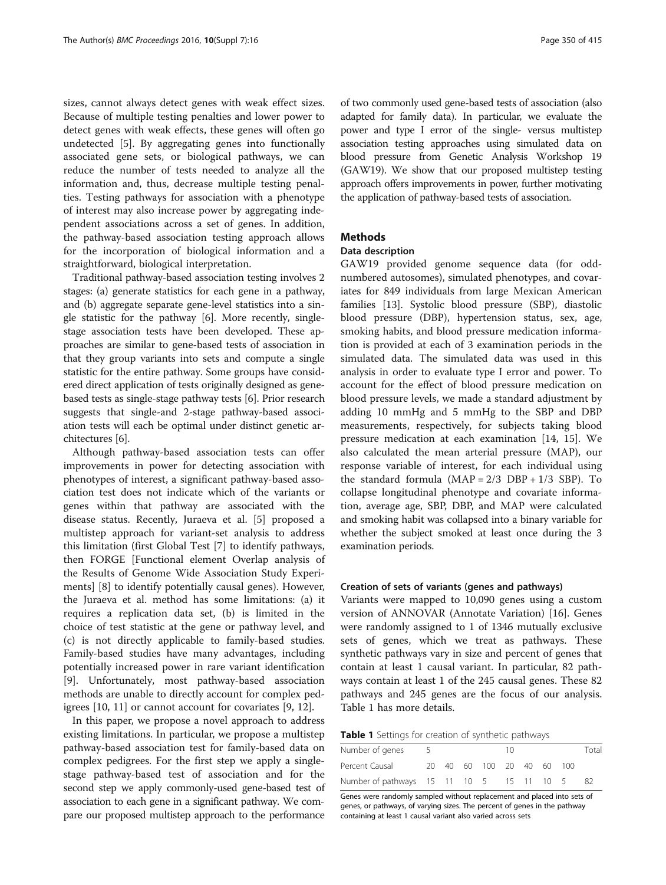sizes, cannot always detect genes with weak effect sizes. Because of multiple testing penalties and lower power to detect genes with weak effects, these genes will often go undetected [\[5](#page-6-0)]. By aggregating genes into functionally associated gene sets, or biological pathways, we can reduce the number of tests needed to analyze all the information and, thus, decrease multiple testing penalties. Testing pathways for association with a phenotype of interest may also increase power by aggregating independent associations across a set of genes. In addition, the pathway-based association testing approach allows for the incorporation of biological information and a straightforward, biological interpretation.

Traditional pathway-based association testing involves 2 stages: (a) generate statistics for each gene in a pathway, and (b) aggregate separate gene-level statistics into a single statistic for the pathway [\[6](#page-6-0)]. More recently, singlestage association tests have been developed. These approaches are similar to gene-based tests of association in that they group variants into sets and compute a single statistic for the entire pathway. Some groups have considered direct application of tests originally designed as genebased tests as single-stage pathway tests [[6\]](#page-6-0). Prior research suggests that single-and 2-stage pathway-based association tests will each be optimal under distinct genetic architectures [\[6](#page-6-0)].

Although pathway-based association tests can offer improvements in power for detecting association with phenotypes of interest, a significant pathway-based association test does not indicate which of the variants or genes within that pathway are associated with the disease status. Recently, Juraeva et al. [[5\]](#page-6-0) proposed a multistep approach for variant-set analysis to address this limitation (first Global Test [\[7](#page-6-0)] to identify pathways, then FORGE [Functional element Overlap analysis of the Results of Genome Wide Association Study Experiments] [\[8](#page-6-0)] to identify potentially causal genes). However, the Juraeva et al. method has some limitations: (a) it requires a replication data set, (b) is limited in the choice of test statistic at the gene or pathway level, and (c) is not directly applicable to family-based studies. Family-based studies have many advantages, including potentially increased power in rare variant identification [[9\]](#page-6-0). Unfortunately, most pathway-based association methods are unable to directly account for complex pedigrees [\[10](#page-6-0), [11](#page-6-0)] or cannot account for covariates [[9, 12\]](#page-6-0).

In this paper, we propose a novel approach to address existing limitations. In particular, we propose a multistep pathway-based association test for family-based data on complex pedigrees. For the first step we apply a singlestage pathway-based test of association and for the second step we apply commonly-used gene-based test of association to each gene in a significant pathway. We compare our proposed multistep approach to the performance of two commonly used gene-based tests of association (also adapted for family data). In particular, we evaluate the power and type I error of the single- versus multistep association testing approaches using simulated data on blood pressure from Genetic Analysis Workshop 19 (GAW19). We show that our proposed multistep testing approach offers improvements in power, further motivating the application of pathway-based tests of association.

## **Methods**

### Data description

GAW19 provided genome sequence data (for oddnumbered autosomes), simulated phenotypes, and covariates for 849 individuals from large Mexican American families [\[13](#page-6-0)]. Systolic blood pressure (SBP), diastolic blood pressure (DBP), hypertension status, sex, age, smoking habits, and blood pressure medication information is provided at each of 3 examination periods in the simulated data. The simulated data was used in this analysis in order to evaluate type I error and power. To account for the effect of blood pressure medication on blood pressure levels, we made a standard adjustment by adding 10 mmHg and 5 mmHg to the SBP and DBP measurements, respectively, for subjects taking blood pressure medication at each examination [[14, 15](#page-6-0)]. We also calculated the mean arterial pressure (MAP), our response variable of interest, for each individual using the standard formula  $(MAP = 2/3 DBP + 1/3 SBP)$ . To collapse longitudinal phenotype and covariate information, average age, SBP, DBP, and MAP were calculated and smoking habit was collapsed into a binary variable for whether the subject smoked at least once during the 3 examination periods.

### Creation of sets of variants (genes and pathways)

Variants were mapped to 10,090 genes using a custom version of ANNOVAR (Annotate Variation) [\[16](#page-6-0)]. Genes were randomly assigned to 1 of 1346 mutually exclusive sets of genes, which we treat as pathways. These synthetic pathways vary in size and percent of genes that contain at least 1 causal variant. In particular, 82 pathways contain at least 1 of the 245 causal genes. These 82 pathways and 245 genes are the focus of our analysis. Table 1 has more details.

Table 1 Settings for creation of synthetic pathways

| Number of genes                          |  |                           | 10 |  | Total |
|------------------------------------------|--|---------------------------|----|--|-------|
| Percent Causal                           |  | 20 40 60 100 20 40 60 100 |    |  |       |
| Number of pathways 15 11 10 5 15 11 10 5 |  |                           |    |  | 82    |

Genes were randomly sampled without replacement and placed into sets of genes, or pathways, of varying sizes. The percent of genes in the pathway containing at least 1 causal variant also varied across sets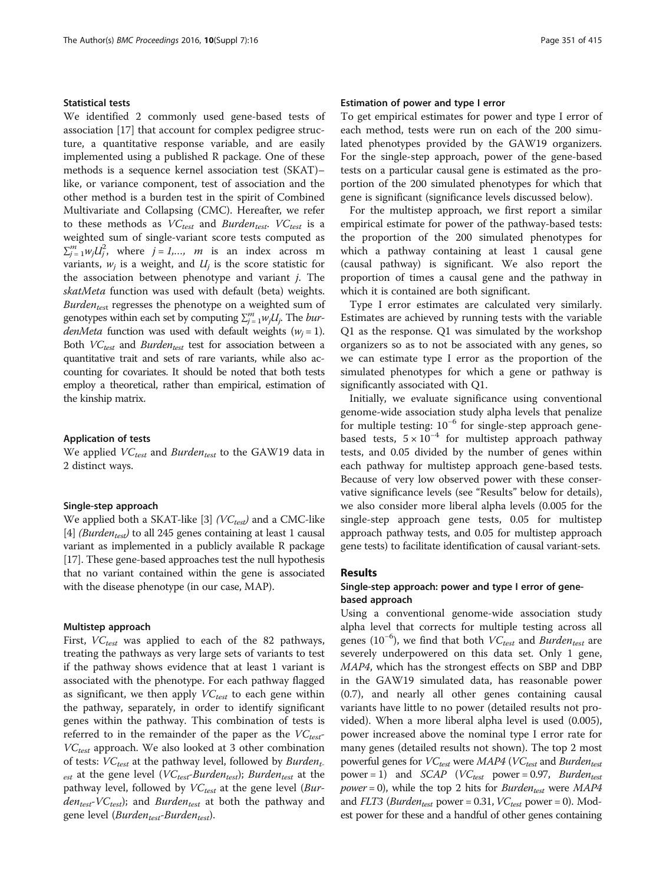## Statistical tests

We identified 2 commonly used gene-based tests of association [\[17](#page-6-0)] that account for complex pedigree structure, a quantitative response variable, and are easily implemented using a published R package. One of these methods is a sequence kernel association test (SKAT)– like, or variance component, test of association and the other method is a burden test in the spirit of Combined Multivariate and Collapsing (CMC). Hereafter, we refer to these methods as  $VC_{test}$  and  $Burden_{test}$ .  $VC_{test}$  is a weighted sum of single-variant score tests computed as  $\sum_{j=1}^{m} w_j U_j^2$ , where  $j = 1,..., m$  is an index across m variants,  $w_i$  is a weight, and  $U_i$  is the score statistic for the association between phenotype and variant j. The skatMeta function was used with default (beta) weights.  $Burden<sub>test</sub>$  regresses the phenotype on a weighted sum of genotypes within each set by computing  $\sum_{j=1}^{m} w_j U_j$ . The *burdenMeta* function was used with default weights  $(w_i = 1)$ . Both  $VC_{test}$  and *Burden<sub>test</sub>* test for association between a quantitative trait and sets of rare variants, while also accounting for covariates. It should be noted that both tests employ a theoretical, rather than empirical, estimation of the kinship matrix.

#### Application of tests

We applied  $VC_{test}$  and Burden<sub>test</sub> to the GAW19 data in 2 distinct ways.

#### Single-step approach

We applied both a SKAT-like [\[3](#page-6-0)]  $(VC_{test})$  and a CMC-like [[4\]](#page-6-0) (Burden<sub>test</sub>) to all 245 genes containing at least 1 causal variant as implemented in a publicly available R package [[17](#page-6-0)]. These gene-based approaches test the null hypothesis that no variant contained within the gene is associated with the disease phenotype (in our case, MAP).

#### Multistep approach

First,  $VC_{test}$  was applied to each of the 82 pathways, treating the pathways as very large sets of variants to test if the pathway shows evidence that at least 1 variant is associated with the phenotype. For each pathway flagged as significant, we then apply  $VC_{test}$  to each gene within the pathway, separately, in order to identify significant genes within the pathway. This combination of tests is referred to in the remainder of the paper as the  $VC_{test}$  $VC_{test}$  approach. We also looked at 3 other combination of tests:  $VC_{test}$  at the pathway level, followed by Burdent-<sub>est</sub> at the gene level ( $VC_{test}$ -Burden<sub>test</sub>); Burden<sub>test</sub> at the pathway level, followed by  $VC_{test}$  at the gene level (Bur $den_{test}$ -VC<sub>test</sub>); and Burden<sub>test</sub> at both the pathway and gene level ( $Burden_{test}$ -Burden<sub>test</sub>).

### Estimation of power and type I error

To get empirical estimates for power and type I error of each method, tests were run on each of the 200 simulated phenotypes provided by the GAW19 organizers. For the single-step approach, power of the gene-based tests on a particular causal gene is estimated as the proportion of the 200 simulated phenotypes for which that gene is significant (significance levels discussed below).

For the multistep approach, we first report a similar empirical estimate for power of the pathway-based tests: the proportion of the 200 simulated phenotypes for which a pathway containing at least 1 causal gene (causal pathway) is significant. We also report the proportion of times a causal gene and the pathway in which it is contained are both significant.

Type I error estimates are calculated very similarly. Estimates are achieved by running tests with the variable Q1 as the response. Q1 was simulated by the workshop organizers so as to not be associated with any genes, so we can estimate type I error as the proportion of the simulated phenotypes for which a gene or pathway is significantly associated with Q1.

Initially, we evaluate significance using conventional genome-wide association study alpha levels that penalize for multiple testing:  $10^{-6}$  for single-step approach genebased tests,  $5 \times 10^{-4}$  for multistep approach pathway tests, and 0.05 divided by the number of genes within each pathway for multistep approach gene-based tests. Because of very low observed power with these conservative significance levels (see "Results" below for details), we also consider more liberal alpha levels (0.005 for the single-step approach gene tests, 0.05 for multistep approach pathway tests, and 0.05 for multistep approach gene tests) to facilitate identification of causal variant-sets.

## Results

## Single-step approach: power and type I error of genebased approach

Using a conventional genome-wide association study alpha level that corrects for multiple testing across all genes (10<sup>-6</sup>), we find that both  $VC_{test}$  and Burden<sub>test</sub> are severely underpowered on this data set. Only 1 gene, MAP4, which has the strongest effects on SBP and DBP in the GAW19 simulated data, has reasonable power (0.7), and nearly all other genes containing causal variants have little to no power (detailed results not provided). When a more liberal alpha level is used (0.005), power increased above the nominal type I error rate for many genes (detailed results not shown). The top 2 most powerful genes for  $VC_{test}$  were MAP4 ( $VC_{test}$  and Burden<sub>test</sub> power = 1) and  $SCAP$  ( $VC_{test}$  power = 0.97, Burden<sub>test</sub> power = 0), while the top 2 hits for  $Burden_{test}$  were  $MAP4$ and *FLT3* (*Burden<sub>test</sub>* power = 0.31,  $VC_{test}$  power = 0). Modest power for these and a handful of other genes containing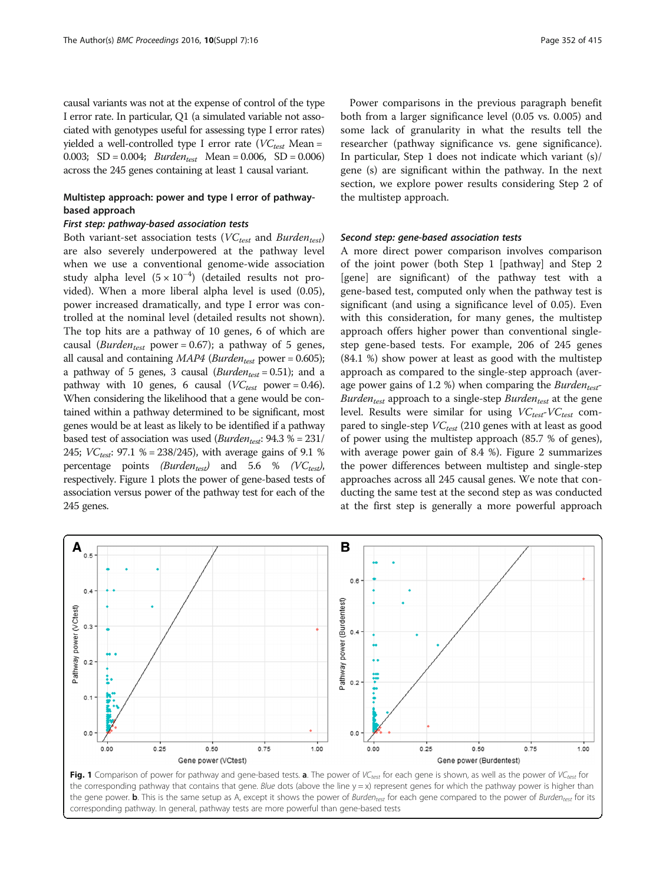causal variants was not at the expense of control of the type I error rate. In particular, Q1 (a simulated variable not associated with genotypes useful for assessing type I error rates) yielded a well-controlled type I error rate ( $VC_{test}$  Mean = 0.003; SD = 0.004; Burden<sub>test</sub> Mean = 0.006, SD = 0.006) across the 245 genes containing at least 1 causal variant.

## Multistep approach: power and type I error of pathwaybased approach

## First step: pathway-based association tests

Both variant-set association tests ( $VC_{test}$  and  $Burden_{test}$ ) are also severely underpowered at the pathway level when we use a conventional genome-wide association study alpha level (5 × 10−<sup>4</sup> ) (detailed results not provided). When a more liberal alpha level is used (0.05), power increased dramatically, and type I error was controlled at the nominal level (detailed results not shown). The top hits are a pathway of 10 genes, 6 of which are causal (*Burden<sub>test</sub>* power = 0.67); a pathway of 5 genes, all causal and containing  $MAP4$  (Burden<sub>test</sub> power = 0.605); a pathway of 5 genes, 3 causal ( $Burden_{test} = 0.51$ ); and a pathway with 10 genes, 6 causal ( $VC_{test}$  power = 0.46). When considering the likelihood that a gene would be contained within a pathway determined to be significant, most genes would be at least as likely to be identified if a pathway based test of association was used ( $Burden_{test}$ : 94.3 % = 231/ 245;  $VC_{test}$ : 97.1 % = 238/245), with average gains of 9.1 % percentage points (Burden<sub>test</sub>) and 5.6 % (VC<sub>test</sub>), respectively. Figure 1 plots the power of gene-based tests of association versus power of the pathway test for each of the 245 genes.

Power comparisons in the previous paragraph benefit both from a larger significance level (0.05 vs. 0.005) and some lack of granularity in what the results tell the researcher (pathway significance vs. gene significance). In particular, Step 1 does not indicate which variant (s)/ gene (s) are significant within the pathway. In the next section, we explore power results considering Step 2 of the multistep approach.

### Second step: gene-based association tests

A more direct power comparison involves comparison of the joint power (both Step 1 [pathway] and Step 2 [gene] are significant) of the pathway test with a gene-based test, computed only when the pathway test is significant (and using a significance level of 0.05). Even with this consideration, for many genes, the multistep approach offers higher power than conventional singlestep gene-based tests. For example, 206 of 245 genes (84.1 %) show power at least as good with the multistep approach as compared to the single-step approach (average power gains of 1.2 %) when comparing the *Burden*<sub>test</sub>-Burden<sub>test</sub> approach to a single-step Burden<sub>test</sub> at the gene level. Results were similar for using  $VC_{test}-VC_{test}$  compared to single-step  $VC_{test}$  (210 genes with at least as good of power using the multistep approach (85.7 % of genes), with average power gain of 8.4 %). Figure [2](#page-4-0) summarizes the power differences between multistep and single-step approaches across all 245 causal genes. We note that conducting the same test at the second step as was conducted at the first step is generally a more powerful approach



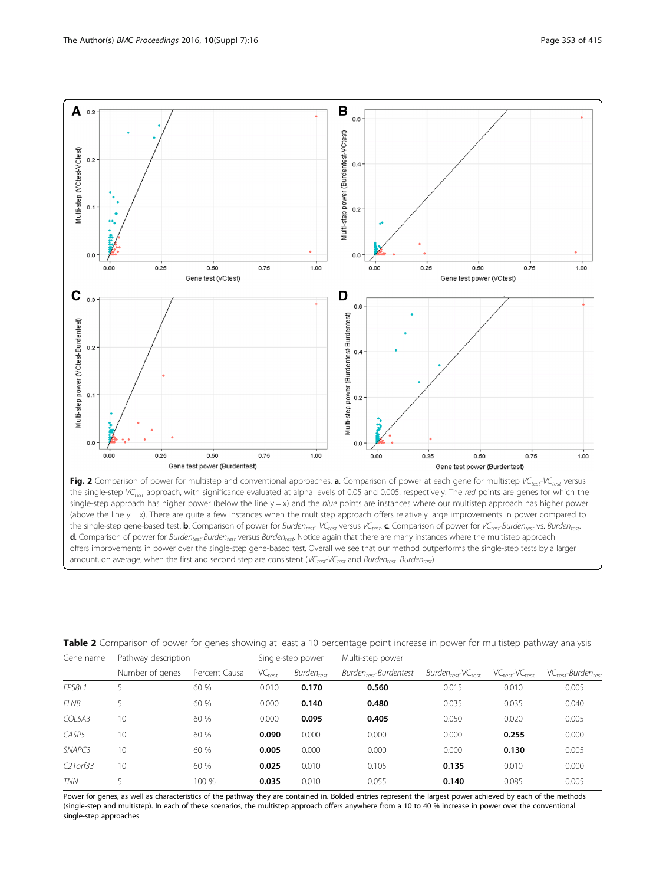<span id="page-4-0"></span>

the single-step  $VC_{rest}$  approach, with significance evaluated at alpha levels of 0.05 and 0.005, respectively. The red points are genes for which the single-step approach has higher power (below the line  $y = x$ ) and the blue points are instances where our multistep approach has higher power (above the line  $y = x$ ). There are quite a few instances when the multistep approach offers relatively large improvements in power compared to the single-step gene-based test. **b**. Comparison of power for Burden<sub>test</sub>- VC<sub>test</sub> versus VC<sub>test</sub> c. Comparison of power for VC<sub>test</sub>-Burden<sub>test</sub>. vs. Burden<sub>test</sub>. d. Comparison of power for Burden<sub>test</sub>-Burden<sub>test</sub> versus Burden<sub>test</sub>. Notice again that there are many instances where the multistep approach offers improvements in power over the single-step gene-based test. Overall we see that our method outperforms the single-step tests by a larger amount, on average, when the first and second step are consistent (VC<sub>test</sub>-VC<sub>test</sub> and Burden<sub>test-</sub> Burden<sub>test</sub>)

| Table 2 Comparison of power for genes showing at least a 10 percentage point increase in power for multistep pathway analysis |  |  |  |  |
|-------------------------------------------------------------------------------------------------------------------------------|--|--|--|--|
|-------------------------------------------------------------------------------------------------------------------------------|--|--|--|--|

| Gene name      | Pathway description |                | Single-step power  |                        | Multi-step power                   |                       |                                        |                                     |  |  |
|----------------|---------------------|----------------|--------------------|------------------------|------------------------------------|-----------------------|----------------------------------------|-------------------------------------|--|--|
|                | Number of genes     | Percent Causal | VC <sub>test</sub> | Burden <sub>test</sub> | Burden <sub>test</sub> -Burdentest | $Burdentest - VCtest$ | VC <sub>test</sub> -VC <sub>test</sub> | $VC_{test}$ -Burden <sub>test</sub> |  |  |
| EPS8L1         |                     | 60 %           | 0.010              | 0.170                  | 0.560                              | 0.015                 | 0.010                                  | 0.005                               |  |  |
| <b>FLNB</b>    |                     | 60 %           | 0.000              | 0.140                  | 0.480                              | 0.035                 | 0.035                                  | 0.040                               |  |  |
| COL5A3         | 10                  | 60 %           | 0.000              | 0.095                  | 0.405                              | 0.050                 | 0.020                                  | 0.005                               |  |  |
| CASP5          | 10                  | 60 %           | 0.090              | 0.000                  | 0.000                              | 0.000                 | 0.255                                  | 0.000                               |  |  |
| SNAPC3         | 10                  | 60 %           | 0.005              | 0.000                  | 0.000                              | 0.000                 | 0.130                                  | 0.005                               |  |  |
| $C21$ orf $33$ | 10                  | 60 %           | 0.025              | 0.010                  | 0.105                              | 0.135                 | 0.010                                  | 0.000                               |  |  |
| <b>TNN</b>     |                     | 100 %          | 0.035              | 0.010                  | 0.055                              | 0.140                 | 0.085                                  | 0.005                               |  |  |

Power for genes, as well as characteristics of the pathway they are contained in. Bolded entries represent the largest power achieved by each of the methods (single-step and multistep). In each of these scenarios, the multistep approach offers anywhere from a 10 to 40 % increase in power over the conventional single-step approaches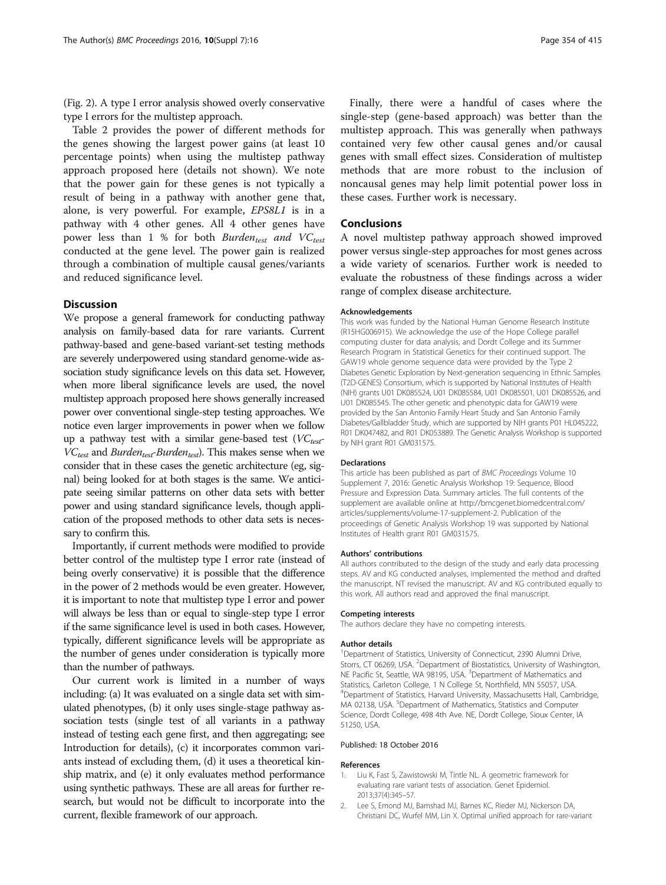<span id="page-5-0"></span>(Fig. [2\)](#page-4-0). A type I error analysis showed overly conservative type I errors for the multistep approach.

Table [2](#page-4-0) provides the power of different methods for the genes showing the largest power gains (at least 10 percentage points) when using the multistep pathway approach proposed here (details not shown). We note that the power gain for these genes is not typically a result of being in a pathway with another gene that, alone, is very powerful. For example, EPS8L1 is in a pathway with 4 other genes. All 4 other genes have power less than 1 % for both Burdentest and  $VC_{test}$ conducted at the gene level. The power gain is realized through a combination of multiple causal genes/variants and reduced significance level.

### **Discussion**

We propose a general framework for conducting pathway analysis on family-based data for rare variants. Current pathway-based and gene-based variant-set testing methods are severely underpowered using standard genome-wide association study significance levels on this data set. However, when more liberal significance levels are used, the novel multistep approach proposed here shows generally increased power over conventional single-step testing approaches. We notice even larger improvements in power when we follow up a pathway test with a similar gene-based test  $(VC_{\text{test}}$  $VC_{test}$  and *Burden<sub>test</sub>-Burden<sub>test</sub>*). This makes sense when we consider that in these cases the genetic architecture (eg, signal) being looked for at both stages is the same. We anticipate seeing similar patterns on other data sets with better power and using standard significance levels, though application of the proposed methods to other data sets is necessary to confirm this.

Importantly, if current methods were modified to provide better control of the multistep type I error rate (instead of being overly conservative) it is possible that the difference in the power of 2 methods would be even greater. However, it is important to note that multistep type I error and power will always be less than or equal to single-step type I error if the same significance level is used in both cases. However, typically, different significance levels will be appropriate as the number of genes under consideration is typically more than the number of pathways.

Our current work is limited in a number of ways including: (a) It was evaluated on a single data set with simulated phenotypes, (b) it only uses single-stage pathway association tests (single test of all variants in a pathway instead of testing each gene first, and then aggregating; see Introduction for details), (c) it incorporates common variants instead of excluding them, (d) it uses a theoretical kinship matrix, and (e) it only evaluates method performance using synthetic pathways. These are all areas for further research, but would not be difficult to incorporate into the current, flexible framework of our approach.

Finally, there were a handful of cases where the single-step (gene-based approach) was better than the multistep approach. This was generally when pathways contained very few other causal genes and/or causal genes with small effect sizes. Consideration of multistep methods that are more robust to the inclusion of noncausal genes may help limit potential power loss in these cases. Further work is necessary.

### Conclusions

A novel multistep pathway approach showed improved power versus single-step approaches for most genes across a wide variety of scenarios. Further work is needed to evaluate the robustness of these findings across a wider range of complex disease architecture.

#### Acknowledgements

This work was funded by the National Human Genome Research Institute (R15HG006915). We acknowledge the use of the Hope College parallel computing cluster for data analysis, and Dordt College and its Summer Research Program in Statistical Genetics for their continued support. The GAW19 whole genome sequence data were provided by the Type 2 Diabetes Genetic Exploration by Next-generation sequencing in Ethnic Samples (T2D-GENES) Consortium, which is supported by National Institutes of Health (NIH) grants U01 DK085524, U01 DK085584, U01 DK085501, U01 DK085526, and U01 DK085545. The other genetic and phenotypic data for GAW19 were provided by the San Antonio Family Heart Study and San Antonio Family Diabetes/Gallbladder Study, which are supported by NIH grants P01 HL045222, R01 DK047482, and R01 DK053889. The Genetic Analysis Workshop is supported by NIH grant R01 GM031575.

#### Declarations

This article has been published as part of BMC Proceedings Volume 10 Supplement 7, 2016: Genetic Analysis Workshop 19: Sequence, Blood Pressure and Expression Data. Summary articles. The full contents of the supplement are available online at [http://bmcgenet.biomedcentral.com/](http://bmcgenet.biomedcentral.com/articles/supplements/volume-17-supplement-2) [articles/supplements/volume-17-supplement-2.](http://bmcgenet.biomedcentral.com/articles/supplements/volume-17-supplement-2) Publication of the proceedings of Genetic Analysis Workshop 19 was supported by National Institutes of Health grant R01 GM031575.

#### Authors' contributions

All authors contributed to the design of the study and early data processing steps. AV and KG conducted analyses, implemented the method and drafted the manuscript. NT revised the manuscript. AV and KG contributed equally to this work. All authors read and approved the final manuscript.

#### Competing interests

The authors declare they have no competing interests.

#### Author details

<sup>1</sup>Department of Statistics, University of Connecticut, 2390 Alumni Drive, Storrs, CT 06269, USA. <sup>2</sup> Department of Biostatistics, University of Washington, NE Pacific St, Seattle, WA 98195, USA. <sup>3</sup>Department of Mathematics and Statistics, Carleton College, 1 N College St, Northfield, MN 55057, USA. 4 Department of Statistics, Harvard University, Massachusetts Hall, Cambridge, MA 02138, USA. <sup>5</sup>Department of Mathematics, Statistics and Computer Science, Dordt College, 498 4th Ave. NE, Dordt College, Sioux Center, IA 51250, USA.

#### Published: 18 October 2016

#### References

- 1. Liu K, Fast S, Zawistowski M, Tintle NL. A geometric framework for evaluating rare variant tests of association. Genet Epidemiol. 2013;37(4):345–57.
- 2. Lee S, Emond MJ, Bamshad MJ, Barnes KC, Rieder MJ, Nickerson DA, Christiani DC, Wurfel MM, Lin X. Optimal unified approach for rare-variant